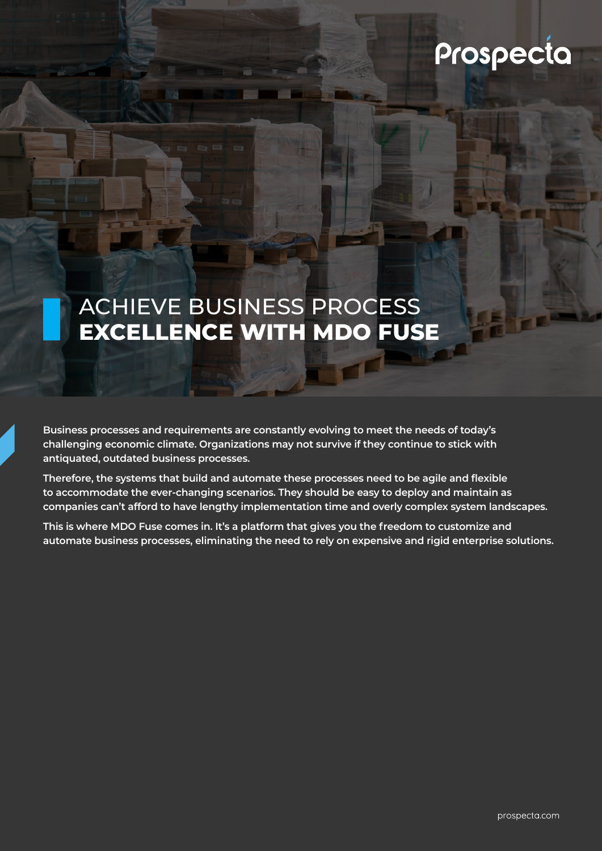# Prospecta

# ACHIEVE BUSINESS PROCESS **EXCELLENCE WITH MDO FUSE**

**Business processes and requirements are constantly evolving to meet the needs of today's challenging economic climate. Organizations may not survive if they continue to stick with antiquated, outdated business processes.**

**Therefore, the systems that build and automate these processes need to be agile and flexible to accommodate the ever-changing scenarios. They should be easy to deploy and maintain as companies can't afford to have lengthy implementation time and overly complex system landscapes.** 

**This is where MDO Fuse comes in. It's a platform that gives you the freedom to customize and automate business processes, eliminating the need to rely on expensive and rigid enterprise solutions.**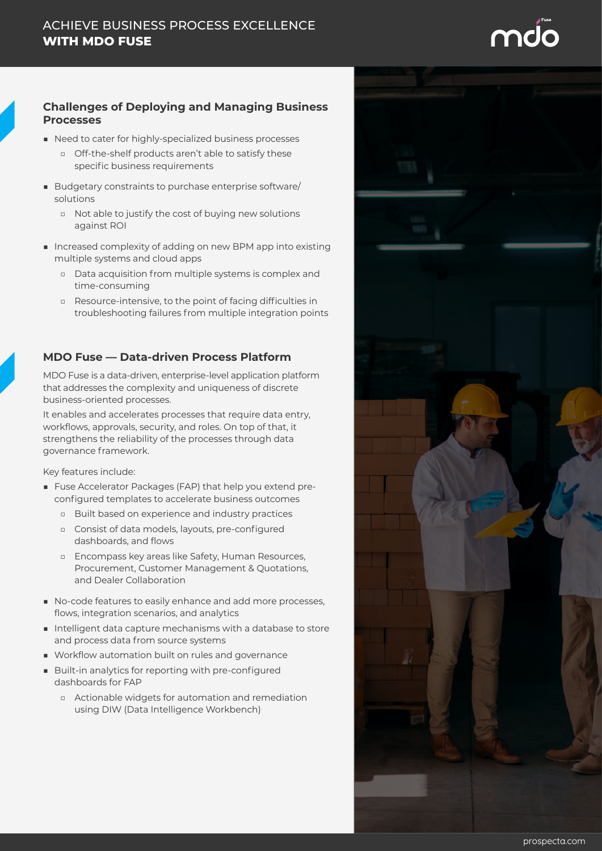

### **Challenges of Deploying and Managing Business Processes**

- Need to cater for highly-specialized business processes
	- □ Off-the-shelf products aren't able to satisfy these specific business requirements
- Budgetary constraints to purchase enterprise software/ solutions
	- □ Not able to justify the cost of buying new solutions against ROI
- Increased complexity of adding on new BPM app into existing multiple systems and cloud apps
	- □ Data acquisition from multiple systems is complex and time-consuming
	- □ Resource-intensive, to the point of facing difficulties in troubleshooting failures from multiple integration points

## **MDO Fuse — Data-driven Process Platform**

MDO Fuse is a data-driven, enterprise-level application platform that addresses the complexity and uniqueness of discrete business-oriented processes.

It enables and accelerates processes that require data entry, workflows, approvals, security, and roles. On top of that, it strengthens the reliability of the processes through data governance framework.

Key features include:

- Fuse Accelerator Packages (FAP) that help you extend preconfigured templates to accelerate business outcomes
	- □ Built based on experience and industry practices
	- □ Consist of data models, layouts, pre-configured dashboards, and flows
	- □ Encompass key areas like Safety, Human Resources, Procurement, Customer Management & Quotations, and Dealer Collaboration
- No-code features to easily enhance and add more processes, flows, integration scenarios, and analytics
- Intelligent data capture mechanisms with a database to store and process data from source systems
- Workflow automation built on rules and governance
- Built-in analytics for reporting with pre-configured dashboards for FAP
	- □ Actionable widgets for automation and remediation using DIW (Data Intelligence Workbench)

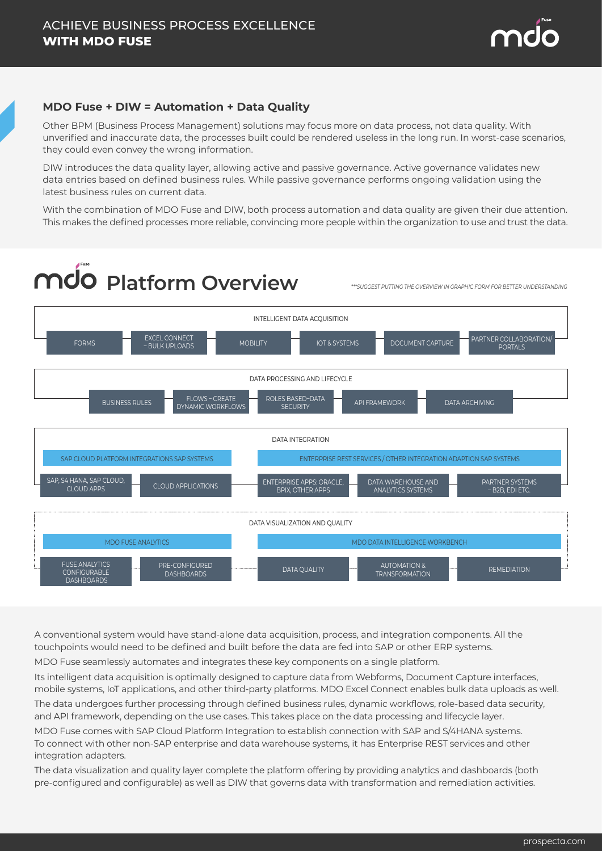

### **MDO Fuse + DIW = Automation + Data Quality**

Other BPM (Business Process Management) solutions may focus more on data process, not data quality. With unverified and inaccurate data, the processes built could be rendered useless in the long run. In worst-case scenarios, they could even convey the wrong information.

DIW introduces the data quality layer, allowing active and passive governance. Active governance validates new data entries based on defined business rules. While passive governance performs ongoing validation using the latest business rules on current data.

With the combination of MDO Fuse and DIW, both process automation and data quality are given their due attention. This makes the defined processes more reliable, convincing more people within the organization to use and trust the data.

# **Platform Overview** *\*\*\*SUGGEST PUTTING THE OVERVIEW IN GRAPHIC FORM FOR BETTER UNDERSTANDING*



A conventional system would have stand-alone data acquisition, process, and integration components. All the touchpoints would need to be defined and built before the data are fed into SAP or other ERP systems.

MDO Fuse seamlessly automates and integrates these key components on a single platform.

Its intelligent data acquisition is optimally designed to capture data from Webforms, Document Capture interfaces, mobile systems, IoT applications, and other third-party platforms. MDO Excel Connect enables bulk data uploads as well.

The data undergoes further processing through defined business rules, dynamic workflows, role-based data security, and API framework, depending on the use cases. This takes place on the data processing and lifecycle layer.

MDO Fuse comes with SAP Cloud Platform Integration to establish connection with SAP and S/4HANA systems. To connect with other non-SAP enterprise and data warehouse systems, it has Enterprise REST services and other integration adapters.

The data visualization and quality layer complete the platform offering by providing analytics and dashboards (both pre-configured and configurable) as well as DIW that governs data with transformation and remediation activities.